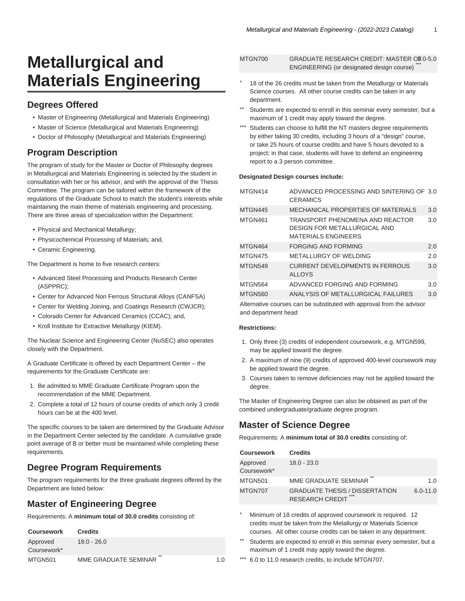# **Metallurgical and Materials Engineering**

# **Degrees Offered**

- Master of Engineering (Metallurgical and Materials Engineering)
- Master of Science (Metallurgical and Materials Engineering)
- Doctor of Philosophy (Metallurgical and Materials Engineering)

# **Program Description**

The program of study for the Master or Doctor of Philosophy degrees in Metallurgical and Materials Engineering is selected by the student in consultation with her or his advisor, and with the approval of the Thesis Committee. The program can be tailored within the framework of the regulations of the Graduate School to match the student's interests while maintaining the main theme of materials engineering and processing. There are three areas of specialization within the Department:

- Physical and Mechanical Metallurgy;
- Physicochemical Processing of Materials; and,
- Ceramic Engineering.

The Department is home to five research centers:

- Advanced Steel Processing and Products Research Center (ASPPRC);
- Center for Advanced Non Ferrous Structural Alloys (CANFSA)
- Center for Welding Joining, and Coatings Research (CWJCR);
- Colorado Center for Advanced Ceramics (CCAC); and,
- Kroll Institute for Extractive Metallurgy (KIEM).

The Nuclear Science and Engineering Center (NuSEC) also operates closely with the Department.

A Graduate Certificate is offered by each Department Center – the requirements for the Graduate Certificate are:

- 1. Be admitted to MME Graduate Certificate Program upon the recommendation of the MME Department.
- 2. Complete a total of 12 hours of course credits of which only 3 credit hours can be at the 400 level.

The specific courses to be taken are determined by the Graduate Advisor in the Department Center selected by the candidate. A cumulative grade point average of B or better must be maintained while completing these requirements.

# **Degree Program Requirements**

The program requirements for the three graduate degrees offered by the Department are listed below:

# **Master of Engineering Degree**

Requirements: A **minimum total of 30.0 credits** consisting of:

| <b>Coursework</b>       | <b>Credits</b>             |     |
|-------------------------|----------------------------|-----|
| Approved<br>Coursework* | $18.0 - 26.0$              |     |
| MTGN501                 | **<br>MME GRADUATE SEMINAR | 1.0 |

| MTGN700 | GRADUATE RESEARCH CREDIT: MASTER OF 0-5.0 |     |
|---------|-------------------------------------------|-----|
|         | ENGINEERING (or designated design course) | *** |

- 18 of the 26 credits must be taken from the Metallurgy or Materials Science courses. All other course credits can be taken in any department.
- Students are expected to enroll in this seminar every semester, but a maximum of 1 credit may apply toward the degree.
- Students can choose to fulfill the NT masters degree requirements by either taking 30 credits, including 3 hours of a "design" course, or take 25 hours of course credits and have 5 hours devoted to a project; in that case, students will have to defend an engineering report to a 3 person committee.

#### **Designated Design courses include:**

| MTGN414                                                               | ADVANCED PROCESSING AND SINTERING OF 3.0<br><b>CERAMICS</b>                                                 |     |  |  |
|-----------------------------------------------------------------------|-------------------------------------------------------------------------------------------------------------|-----|--|--|
| MTGN445                                                               | <b>MECHANICAL PROPERTIES OF MATERIALS</b>                                                                   | 3.0 |  |  |
| MTGN461                                                               | <b>TRANSPORT PHENOMENA AND REACTOR</b><br><b>DESIGN FOR METALLURGICAL AND</b><br><b>MATERIALS ENGINEERS</b> | 3.0 |  |  |
| MTGN464                                                               | FORGING AND FORMING                                                                                         | 2.0 |  |  |
| MTGN475                                                               | METALLURGY OF WELDING                                                                                       | 2.0 |  |  |
| MTGN549                                                               | <b>CURRENT DEVELOPMENTS IN FERROUS</b><br><b>ALLOYS</b>                                                     | 3.0 |  |  |
| MTGN564                                                               | ADVANCED FORGING AND FORMING                                                                                | 3.0 |  |  |
| MTGN560                                                               | ANALYSIS OF METALLURGICAL FAILURES                                                                          | 3.0 |  |  |
| Alternative courses can be qubetituted with approval from the advisor |                                                                                                             |     |  |  |

Alternative courses can be substituted with approval from the advisor and department head

#### **Restrictions:**

- 1. Only three (3) credits of independent coursework, e.g. MTGN599, may be applied toward the degree.
- 2. A maximum of nine (9) credits of approved 400-level coursework may be applied toward the degree.
- 3. Courses taken to remove deficiencies may not be applied toward the degree.

The Master of Engineering Degree can also be obtained as part of the combined undergraduate/graduate degree program.

# **Master of Science Degree**

Requirements: A **minimum total of 30.0 credits** consisting of:

| <b>Coursework</b>       | <b>Credits</b>                                                         |              |
|-------------------------|------------------------------------------------------------------------|--------------|
| Approved<br>Coursework* | $18.0 - 23.0$                                                          |              |
| MTGN501                 | **<br>MME GRADUATE SEMINAR                                             | 1.0          |
| MTGN707                 | <b>GRADUATE THESIS / DISSERTATION</b><br>***<br><b>RESEARCH CREDIT</b> | $6.0 - 11.0$ |

Minimum of 18 credits of approved coursework is required. 12 credits must be taken from the Metallurgy or Materials Science courses. All other course credits can be taken in any department.

- Students are expected to enroll in this seminar every semester, but a maximum of 1 credit may apply toward the degree.
- 6.0 to 11.0 research credits, to include MTGN707.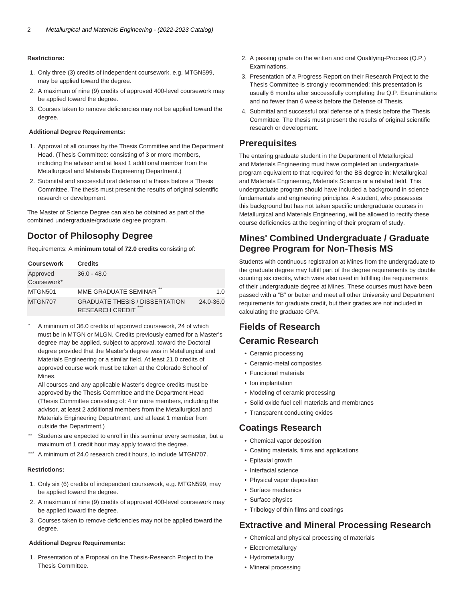#### **Restrictions:**

- 1. Only three (3) credits of independent coursework, e.g. MTGN599, may be applied toward the degree.
- 2. A maximum of nine (9) credits of approved 400-level coursework may be applied toward the degree.
- 3. Courses taken to remove deficiencies may not be applied toward the degree.

#### **Additional Degree Requirements:**

- 1. Approval of all courses by the Thesis Committee and the Department Head. (Thesis Committee: consisting of 3 or more members, including the advisor and at least 1 additional member from the Metallurgical and Materials Engineering Department.)
- 2. Submittal and successful oral defense of a thesis before a Thesis Committee. The thesis must present the results of original scientific research or development.

The Master of Science Degree can also be obtained as part of the combined undergraduate/graduate degree program.

# **Doctor of Philosophy Degree**

Requirements: A **minimum total of 72.0 credits** consisting of:

| <b>Coursework</b>       | <b>Credits</b>                                                         |           |
|-------------------------|------------------------------------------------------------------------|-----------|
| Approved<br>Coursework* | $36.0 - 48.0$                                                          |           |
| MTGN501                 | **<br>MME GRADUATE SEMINAR                                             | 1.0       |
| MTGN707                 | <b>GRADUATE THESIS / DISSERTATION</b><br>***<br><b>RESEARCH CREDIT</b> | 24.0-36.0 |

A minimum of 36.0 credits of approved coursework, 24 of which must be in MTGN or MLGN. Credits previously earned for a Master's degree may be applied, subject to approval, toward the Doctoral degree provided that the Master's degree was in Metallurgical and Materials Engineering or a similar field. At least 21.0 credits of approved course work must be taken at the Colorado School of Mines.

All courses and any applicable Master's degree credits must be approved by the Thesis Committee and the Department Head (Thesis Committee consisting of: 4 or more members, including the advisor, at least 2 additional members from the Metallurgical and Materials Engineering Department, and at least 1 member from outside the Department.)

- \*\* Students are expected to enroll in this seminar every semester, but a maximum of 1 credit hour may apply toward the degree.
- A minimum of 24.0 research credit hours, to include MTGN707.

#### **Restrictions:**

- 1. Only six (6) credits of independent coursework, e.g. MTGN599, may be applied toward the degree.
- 2. A maximum of nine (9) credits of approved 400-level coursework may be applied toward the degree.
- 3. Courses taken to remove deficiencies may not be applied toward the degree.

#### **Additional Degree Requirements:**

1. Presentation of a Proposal on the Thesis-Research Project to the Thesis Committee.

- 2. A passing grade on the written and oral Qualifying-Process (Q.P.) Examinations.
- 3. Presentation of a Progress Report on their Research Project to the Thesis Committee is strongly recommended; this presentation is usually 6 months after successfully completing the Q.P. Examinations and no fewer than 6 weeks before the Defense of Thesis.
- 4. Submittal and successful oral defense of a thesis before the Thesis Committee. The thesis must present the results of original scientific research or development.

# **Prerequisites**

The entering graduate student in the Department of Metallurgical and Materials Engineering must have completed an undergraduate program equivalent to that required for the BS degree in: Metallurgical and Materials Engineering, Materials Science or a related field. This undergraduate program should have included a background in science fundamentals and engineering principles. A student, who possesses this background but has not taken specific undergraduate courses in Metallurgical and Materials Engineering, will be allowed to rectify these course deficiencies at the beginning of their program of study.

# **Mines' Combined Undergraduate / Graduate Degree Program for Non-Thesis MS**

Students with continuous registration at Mines from the undergraduate to the graduate degree may fulfill part of the degree requirements by double counting six credits, which were also used in fulfilling the requirements of their undergraduate degree at Mines. These courses must have been passed with a "B" or better and meet all other University and Department requirements for graduate credit, but their grades are not included in calculating the graduate GPA.

# **Fields of Research Ceramic Research**

- Ceramic processing
- Ceramic-metal composites
- Functional materials
- Ion implantation
- Modeling of ceramic processing
- Solid oxide fuel cell materials and membranes
- Transparent conducting oxides

# **Coatings Research**

- Chemical vapor deposition
- Coating materials, films and applications
- Epitaxial growth
- Interfacial science
- Physical vapor deposition
- Surface mechanics
- Surface physics
- Tribology of thin films and coatings

### **Extractive and Mineral Processing Research**

- Chemical and physical processing of materials
- Electrometallurgy
- Hydrometallurgy
- Mineral processing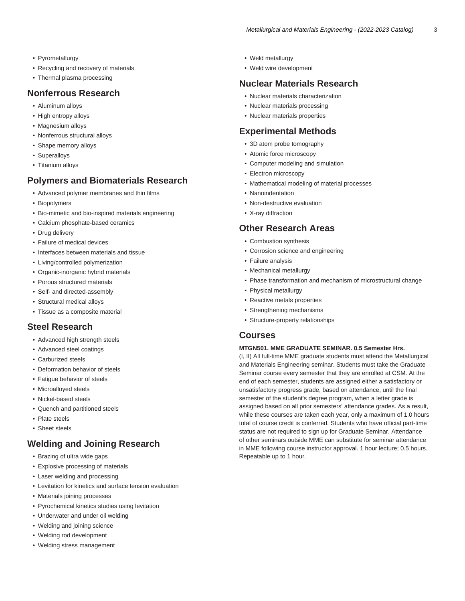- Pyrometallurgy
- Recycling and recovery of materials
- Thermal plasma processing

### **Nonferrous Research**

- Aluminum alloys
- High entropy alloys
- Magnesium alloys
- Nonferrous structural alloys
- Shape memory alloys
- Superalloys
- Titanium alloys

# **Polymers and Biomaterials Research**

- Advanced polymer membranes and thin films
- Biopolymers
- Bio-mimetic and bio-inspired materials engineering
- Calcium phosphate-based ceramics
- Drug delivery
- Failure of medical devices
- Interfaces between materials and tissue
- Living/controlled polymerization
- Organic-inorganic hybrid materials
- Porous structured materials
- Self- and directed-assembly
- Structural medical alloys
- Tissue as a composite material

# **Steel Research**

- Advanced high strength steels
- Advanced steel coatings
- Carburized steels
- Deformation behavior of steels
- Fatigue behavior of steels
- Microalloyed steels
- Nickel-based steels
- Quench and partitioned steels
- Plate steels
- Sheet steels

# **Welding and Joining Research**

- Brazing of ultra wide gaps
- Explosive processing of materials
- Laser welding and processing
- Levitation for kinetics and surface tension evaluation
- Materials joining processes
- Pyrochemical kinetics studies using levitation
- Underwater and under oil welding
- Welding and joining science
- Welding rod development
- Welding stress management
- Weld metallurgy
- Weld wire development

# **Nuclear Materials Research**

- Nuclear materials characterization
- Nuclear materials processing
- Nuclear materials properties

### **Experimental Methods**

- 3D atom probe tomography
- Atomic force microscopy
- Computer modeling and simulation
- Electron microscopy
- Mathematical modeling of material processes
- Nanoindentation
- Non-destructive evaluation
- X-ray diffraction

### **Other Research Areas**

- Combustion synthesis
- Corrosion science and engineering
- Failure analysis
- Mechanical metallurgy
- Phase transformation and mechanism of microstructural change
- Physical metallurgy
- Reactive metals properties
- Strengthening mechanisms
- Structure-property relationships

### **Courses**

#### **MTGN501. MME GRADUATE SEMINAR. 0.5 Semester Hrs.**

(I, II) All full-time MME graduate students must attend the Metallurgical and Materials Engineering seminar. Students must take the Graduate Seminar course every semester that they are enrolled at CSM. At the end of each semester, students are assigned either a satisfactory or unsatisfactory progress grade, based on attendance, until the final semester of the student's degree program, when a letter grade is assigned based on all prior semesters' attendance grades. As a result, while these courses are taken each year, only a maximum of 1.0 hours total of course credit is conferred. Students who have official part-time status are not required to sign up for Graduate Seminar. Attendance of other seminars outside MME can substitute for seminar attendance in MME following course instructor approval. 1 hour lecture; 0.5 hours. Repeatable up to 1 hour.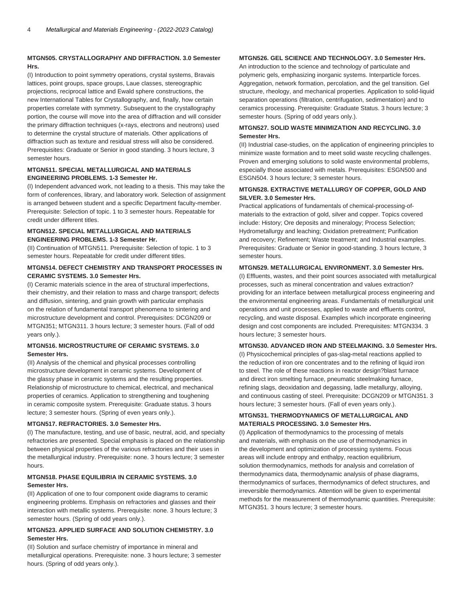#### **MTGN505. CRYSTALLOGRAPHY AND DIFFRACTION. 3.0 Semester Hrs.**

(I) Introduction to point symmetry operations, crystal systems, Bravais lattices, point groups, space groups, Laue classes, stereographic projections, reciprocal lattice and Ewald sphere constructions, the new International Tables for Crystallography, and, finally, how certain properties correlate with symmetry. Subsequent to the crystallography portion, the course will move into the area of diffraction and will consider the primary diffraction techniques (x-rays, electrons and neutrons) used to determine the crystal structure of materials. Other applications of diffraction such as texture and residual stress will also be considered. Prerequisites: Graduate or Senior in good standing. 3 hours lecture, 3 semester hours.

#### **MTGN511. SPECIAL METALLURGICAL AND MATERIALS ENGINEERING PROBLEMS. 1-3 Semester Hr.**

(I) Independent advanced work, not leading to a thesis. This may take the form of conferences, library, and laboratory work. Selection of assignment is arranged between student and a specific Department faculty-member. Prerequisite: Selection of topic. 1 to 3 semester hours. Repeatable for credit under different titles.

#### **MTGN512. SPECIAL METALLURGICAL AND MATERIALS ENGINEERING PROBLEMS. 1-3 Semester Hr.**

(II) Continuation of MTGN511. Prerequisite: Selection of topic. 1 to 3 semester hours. Repeatable for credit under different titles.

#### **MTGN514. DEFECT CHEMISTRY AND TRANSPORT PROCESSES IN CERAMIC SYSTEMS. 3.0 Semester Hrs.**

(I) Ceramic materials science in the area of structural imperfections, their chemistry, and their relation to mass and charge transport; defects and diffusion, sintering, and grain growth with particular emphasis on the relation of fundamental transport phenomena to sintering and microstructure development and control. Prerequisites: DCGN209 or MTGN351; MTGN311. 3 hours lecture; 3 semester hours. (Fall of odd years only.).

#### **MTGN516. MICROSTRUCTURE OF CERAMIC SYSTEMS. 3.0 Semester Hrs.**

(II) Analysis of the chemical and physical processes controlling microstructure development in ceramic systems. Development of the glassy phase in ceramic systems and the resulting properties. Relationship of microstructure to chemical, electrical, and mechanical properties of ceramics. Application to strengthening and toughening in ceramic composite system. Prerequisite: Graduate status. 3 hours lecture; 3 semester hours. (Spring of even years only.).

#### **MTGN517. REFRACTORIES. 3.0 Semester Hrs.**

(I) The manufacture, testing, and use of basic, neutral, acid, and specialty refractories are presented. Special emphasis is placed on the relationship between physical properties of the various refractories and their uses in the metallurgical industry. Prerequisite: none. 3 hours lecture; 3 semester hours.

#### **MTGN518. PHASE EQUILIBRIA IN CERAMIC SYSTEMS. 3.0 Semester Hrs.**

(II) Application of one to four component oxide diagrams to ceramic engineering problems. Emphasis on refractories and glasses and their interaction with metallic systems. Prerequisite: none. 3 hours lecture; 3 semester hours. (Spring of odd years only.).

#### **MTGN523. APPLIED SURFACE AND SOLUTION CHEMISTRY. 3.0 Semester Hrs.**

(II) Solution and surface chemistry of importance in mineral and metallurgical operations. Prerequisite: none. 3 hours lecture; 3 semester hours. (Spring of odd years only.).

#### **MTGN526. GEL SCIENCE AND TECHNOLOGY. 3.0 Semester Hrs.**

An introduction to the science and technology of particulate and polymeric gels, emphasizing inorganic systems. Interparticle forces. Aggregation, network formation, percolation, and the gel transition. Gel structure, rheology, and mechanical properties. Application to solid-liquid separation operations (filtration, centrifugation, sedimentation) and to ceramics processing. Prerequisite: Graduate Status. 3 hours lecture; 3 semester hours. (Spring of odd years only.).

#### **MTGN527. SOLID WASTE MINIMIZATION AND RECYCLING. 3.0 Semester Hrs.**

(II) Industrial case-studies, on the application of engineering principles to minimize waste formation and to meet solid waste recycling challenges. Proven and emerging solutions to solid waste environmental problems, especially those associated with metals. Prerequisites: ESGN500 and ESGN504. 3 hours lecture; 3 semester hours.

#### **MTGN528. EXTRACTIVE METALLURGY OF COPPER, GOLD AND SILVER. 3.0 Semester Hrs.**

Practical applications of fundamentals of chemical-processing-ofmaterials to the extraction of gold, silver and copper. Topics covered include: History; Ore deposits and mineralogy; Process Selection; Hydrometallurgy and leaching; Oxidation pretreatment; Purification and recovery; Refinement; Waste treatment; and Industrial examples. Prerequisites: Graduate or Senior in good-standing. 3 hours lecture, 3 semester hours.

#### **MTGN529. METALLURGICAL ENVIRONMENT. 3.0 Semester Hrs.**

(I) Effluents, wastes, and their point sources associated with metallurgical processes, such as mineral concentration and values extraction? providing for an interface between metallurgical process engineering and the environmental engineering areas. Fundamentals of metallurgical unit operations and unit processes, applied to waste and effluents control, recycling, and waste disposal. Examples which incorporate engineering design and cost components are included. Prerequisites: MTGN334. 3 hours lecture; 3 semester hours.

#### **MTGN530. ADVANCED IRON AND STEELMAKING. 3.0 Semester Hrs.**

(I) Physicochemical principles of gas-slag-metal reactions applied to the reduction of iron ore concentrates and to the refining of liquid iron to steel. The role of these reactions in reactor design?blast furnace and direct iron smelting furnace, pneumatic steelmaking furnace, refining slags, deoxidation and degassing, ladle metallurgy, alloying, and continuous casting of steel. Prerequisite: DCGN209 or MTGN351. 3 hours lecture; 3 semester hours. (Fall of even years only.).

#### **MTGN531. THERMODYNAMICS OF METALLURGICAL AND MATERIALS PROCESSING. 3.0 Semester Hrs.**

(I) Application of thermodynamics to the processing of metals and materials, with emphasis on the use of thermodynamics in the development and optimization of processing systems. Focus areas will include entropy and enthalpy, reaction equilibrium, solution thermodynamics, methods for analysis and correlation of thermodynamics data, thermodynamic analysis of phase diagrams, thermodynamics of surfaces, thermodynamics of defect structures, and irreversible thermodynamics. Attention will be given to experimental methods for the measurement of thermodynamic quantities. Prerequisite: MTGN351. 3 hours lecture; 3 semester hours.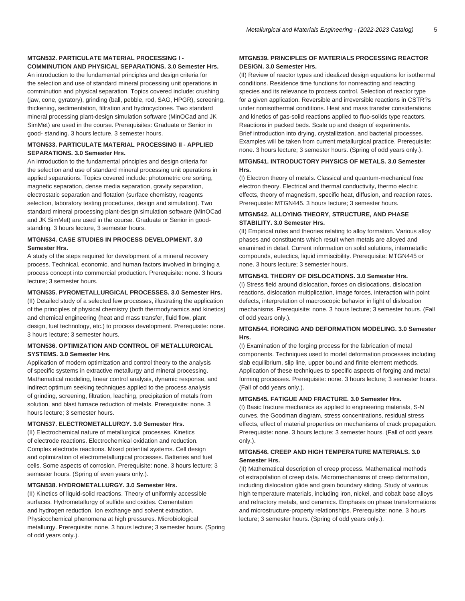#### **MTGN532. PARTICULATE MATERIAL PROCESSING I - COMMINUTION AND PHYSICAL SEPARATIONS. 3.0 Semester Hrs.**

An introduction to the fundamental principles and design criteria for the selection and use of standard mineral processing unit operations in comminution and physical separation. Topics covered include: crushing (jaw, cone, gyratory), grinding (ball, pebble, rod, SAG, HPGR), screening, thickening, sedimentation, filtration and hydrocyclones. Two standard mineral processing plant-design simulation software (MinOCad and JK SimMet) are used in the course. Prerequisites: Graduate or Senior in good- standing. 3 hours lecture, 3 semester hours.

#### **MTGN533. PARTICULATE MATERIAL PROCESSING II - APPLIED SEPARATIONS. 3.0 Semester Hrs.**

An introduction to the fundamental principles and design criteria for the selection and use of standard mineral processing unit operations in applied separations. Topics covered include: photometric ore sorting, magnetic separation, dense media separation, gravity separation, electrostatic separation and flotation (surface chemistry, reagents selection, laboratory testing procedures, design and simulation). Two standard mineral processing plant-design simulation software (MinOCad and JK SimMet) are used in the course. Graduate or Senior in goodstanding. 3 hours lecture, 3 semester hours.

#### **MTGN534. CASE STUDIES IN PROCESS DEVELOPMENT. 3.0 Semester Hrs.**

A study of the steps required for development of a mineral recovery process. Technical, economic, and human factors involved in bringing a process concept into commercial production. Prerequisite: none. 3 hours lecture; 3 semester hours.

#### **MTGN535. PYROMETALLURGICAL PROCESSES. 3.0 Semester Hrs.**

(II) Detailed study of a selected few processes, illustrating the application of the principles of physical chemistry (both thermodynamics and kinetics) and chemical engineering (heat and mass transfer, fluid flow, plant design, fuel technology, etc.) to process development. Prerequisite: none. 3 hours lecture; 3 semester hours.

#### **MTGN536. OPTIMIZATION AND CONTROL OF METALLURGICAL SYSTEMS. 3.0 Semester Hrs.**

Application of modern optimization and control theory to the analysis of specific systems in extractive metallurgy and mineral processing. Mathematical modeling, linear control analysis, dynamic response, and indirect optimum seeking techniques applied to the process analysis of grinding, screening, filtration, leaching, precipitation of metals from solution, and blast furnace reduction of metals. Prerequisite: none. 3 hours lecture; 3 semester hours.

#### **MTGN537. ELECTROMETALLURGY. 3.0 Semester Hrs.**

(II) Electrochemical nature of metallurgical processes. Kinetics of electrode reactions. Electrochemical oxidation and reduction. Complex electrode reactions. Mixed potential systems. Cell design and optimization of electrometallurgical processes. Batteries and fuel cells. Some aspects of corrosion. Prerequisite: none. 3 hours lecture; 3 semester hours. (Spring of even years only.).

#### **MTGN538. HYDROMETALLURGY. 3.0 Semester Hrs.**

(II) Kinetics of liquid-solid reactions. Theory of uniformly accessible surfaces. Hydrometallurgy of sulfide and oxides. Cementation and hydrogen reduction. Ion exchange and solvent extraction. Physicochemical phenomena at high pressures. Microbiological metallurgy. Prerequisite: none. 3 hours lecture; 3 semester hours. (Spring of odd years only.).

#### **MTGN539. PRINCIPLES OF MATERIALS PROCESSING REACTOR DESIGN. 3.0 Semester Hrs.**

(II) Review of reactor types and idealized design equations for isothermal conditions. Residence time functions for nonreacting and reacting species and its relevance to process control. Selection of reactor type for a given application. Reversible and irreversible reactions in CSTR?s under nonisothermal conditions. Heat and mass transfer considerations and kinetics of gas-solid reactions applied to fluo-solids type reactors. Reactions in packed beds. Scale up and design of experiments. Brief introduction into drying, crystallization, and bacterial processes. Examples will be taken from current metallurgical practice. Prerequisite: none. 3 hours lecture; 3 semester hours. (Spring of odd years only.).

#### **MTGN541. INTRODUCTORY PHYSICS OF METALS. 3.0 Semester Hrs.**

(I) Electron theory of metals. Classical and quantum-mechanical free electron theory. Electrical and thermal conductivity, thermo electric effects, theory of magnetism, specific heat, diffusion, and reaction rates. Prerequisite: MTGN445. 3 hours lecture; 3 semester hours.

#### **MTGN542. ALLOYING THEORY, STRUCTURE, AND PHASE STABILITY. 3.0 Semester Hrs.**

(II) Empirical rules and theories relating to alloy formation. Various alloy phases and constituents which result when metals are alloyed and examined in detail. Current information on solid solutions, intermetallic compounds, eutectics, liquid immiscibility. Prerequisite: MTGN445 or none. 3 hours lecture; 3 semester hours.

#### **MTGN543. THEORY OF DISLOCATIONS. 3.0 Semester Hrs.**

(I) Stress field around dislocation, forces on dislocations, dislocation reactions, dislocation multiplication, image forces, interaction with point defects, interpretation of macroscopic behavior in light of dislocation mechanisms. Prerequisite: none. 3 hours lecture; 3 semester hours. (Fall of odd years only.).

#### **MTGN544. FORGING AND DEFORMATION MODELING. 3.0 Semester Hrs.**

(I) Examination of the forging process for the fabrication of metal components. Techniques used to model deformation processes including slab equilibrium, slip line, upper bound and finite element methods. Application of these techniques to specific aspects of forging and metal forming processes. Prerequisite: none. 3 hours lecture; 3 semester hours. (Fall of odd years only.).

#### **MTGN545. FATIGUE AND FRACTURE. 3.0 Semester Hrs.**

(I) Basic fracture mechanics as applied to engineering materials, S-N curves, the Goodman diagram, stress concentrations, residual stress effects, effect of material properties on mechanisms of crack propagation. Prerequisite: none. 3 hours lecture; 3 semester hours. (Fall of odd years only.).

#### **MTGN546. CREEP AND HIGH TEMPERATURE MATERIALS. 3.0 Semester Hrs.**

(II) Mathematical description of creep process. Mathematical methods of extrapolation of creep data. Micromechanisms of creep deformation, including dislocation glide and grain boundary sliding. Study of various high temperature materials, including iron, nickel, and cobalt base alloys and refractory metals, and ceramics. Emphasis on phase transformations and microstructure-property relationships. Prerequisite: none. 3 hours lecture; 3 semester hours. (Spring of odd years only.).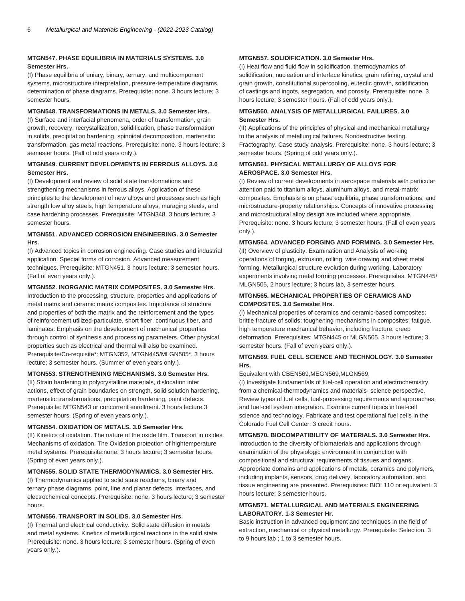#### **MTGN547. PHASE EQUILIBRIA IN MATERIALS SYSTEMS. 3.0 Semester Hrs.**

(I) Phase equilibria of uniary, binary, ternary, and multicomponent systems, microstructure interpretation, pressure-temperature diagrams, determination of phase diagrams. Prerequisite: none. 3 hours lecture; 3 semester hours.

#### **MTGN548. TRANSFORMATIONS IN METALS. 3.0 Semester Hrs.**

(I) Surface and interfacial phenomena, order of transformation, grain growth, recovery, recrystallization, solidification, phase transformation in solids, precipitation hardening, spinoidal decomposition, martensitic transformation, gas metal reactions. Prerequisite: none. 3 hours lecture; 3 semester hours. (Fall of odd years only.).

#### **MTGN549. CURRENT DEVELOPMENTS IN FERROUS ALLOYS. 3.0 Semester Hrs.**

(I) Development and review of solid state transformations and strengthening mechanisms in ferrous alloys. Application of these principles to the development of new alloys and processes such as high strength low alloy steels, high temperature alloys, maraging steels, and case hardening processes. Prerequisite: MTGN348. 3 hours lecture; 3 semester hours.

#### **MTGN551. ADVANCED CORROSION ENGINEERING. 3.0 Semester Hrs.**

(I) Advanced topics in corrosion engineering. Case studies and industrial application. Special forms of corrosion. Advanced measurement techniques. Prerequisite: MTGN451. 3 hours lecture; 3 semester hours. (Fall of even years only.).

#### **MTGN552. INORGANIC MATRIX COMPOSITES. 3.0 Semester Hrs.**

Introduction to the processing, structure, properties and applications of metal matrix and ceramic matrix composites. Importance of structure and properties of both the matrix and the reinforcement and the types of reinforcement utilized-particulate, short fiber, continuous fiber, and laminates. Emphasis on the development of mechanical properties through control of synthesis and processing parameters. Other physical properties such as electrical and thermal will also be examined. Prerequisite/Co-requisite\*: MTGN352, MTGN445/MLGN505\*. 3 hours lecture; 3 semester hours. (Summer of even years only.).

#### **MTGN553. STRENGTHENING MECHANISMS. 3.0 Semester Hrs.**

(II) Strain hardening in polycrystalline materials, dislocation inter actions, effect of grain boundaries on strength, solid solution hardening, martensitic transformations, precipitation hardening, point defects. Prerequisite: MTGN543 or concurrent enrollment. 3 hours lecture;3 semester hours. (Spring of even years only.).

#### **MTGN554. OXIDATION OF METALS. 3.0 Semester Hrs.**

(II) Kinetics of oxidation. The nature of the oxide film. Transport in oxides. Mechanisms of oxidation. The Oxidation protection of hightemperature metal systems. Prerequisite:none. 3 hours lecture; 3 semester hours. (Spring of even years only.).

#### **MTGN555. SOLID STATE THERMODYNAMICS. 3.0 Semester Hrs.**

(I) Thermodynamics applied to solid state reactions, binary and ternary phase diagrams, point, line and planar defects, interfaces, and electrochemical concepts. Prerequisite: none. 3 hours lecture; 3 semester hours.

#### **MTGN556. TRANSPORT IN SOLIDS. 3.0 Semester Hrs.**

(I) Thermal and electrical conductivity. Solid state diffusion in metals and metal systems. Kinetics of metallurgical reactions in the solid state. Prerequisite: none. 3 hours lecture; 3 semester hours. (Spring of even years only.).

#### **MTGN557. SOLIDIFICATION. 3.0 Semester Hrs.**

(I) Heat flow and fluid flow in solidification, thermodynamics of solidification, nucleation and interface kinetics, grain refining, crystal and grain growth, constitutional supercooling, eutectic growth, solidification of castings and ingots, segregation, and porosity. Prerequisite: none. 3 hours lecture; 3 semester hours. (Fall of odd years only.).

#### **MTGN560. ANALYSIS OF METALLURGICAL FAILURES. 3.0 Semester Hrs.**

(II) Applications of the principles of physical and mechanical metallurgy to the analysis of metallurgical failures. Nondestructive testing. Fractography. Case study analysis. Prerequisite: none. 3 hours lecture; 3 semester hours. (Spring of odd years only.).

#### **MTGN561. PHYSICAL METALLURGY OF ALLOYS FOR AEROSPACE. 3.0 Semester Hrs.**

(I) Review of current developments in aerospace materials with particular attention paid to titanium alloys, aluminum alloys, and metal-matrix composites. Emphasis is on phase equilibria, phase transformations, and microstructure-property relationships. Concepts of innovative processing and microstructural alloy design are included where appropriate. Prerequisite: none. 3 hours lecture; 3 semester hours. (Fall of even years only.).

#### **MTGN564. ADVANCED FORGING AND FORMING. 3.0 Semester Hrs.**

(II) Overview of plasticity. Examination and Analysis of working operations of forging, extrusion, rolling, wire drawing and sheet metal forming. Metallurgical structure evolution during working. Laboratory experiments involving metal forming processes. Prerequisites: MTGN445/ MLGN505, 2 hours lecture; 3 hours lab, 3 semester hours.

#### **MTGN565. MECHANICAL PROPERTIES OF CERAMICS AND COMPOSITES. 3.0 Semester Hrs.**

(I) Mechanical properties of ceramics and ceramic-based composites; brittle fracture of solids; toughening mechanisms in composites; fatigue, high temperature mechanical behavior, including fracture, creep deformation. Prerequisites: MTGN445 or MLGN505. 3 hours lecture; 3 semester hours. (Fall of even years only.).

#### **MTGN569. FUEL CELL SCIENCE AND TECHNOLOGY. 3.0 Semester Hrs.**

#### Equivalent with CBEN569,MEGN569,MLGN569,

(I) Investigate fundamentals of fuel-cell operation and electrochemistry from a chemical-thermodynamics and materials- science perspective. Review types of fuel cells, fuel-processing requirements and approaches, and fuel-cell system integration. Examine current topics in fuel-cell science and technology. Fabricate and test operational fuel cells in the Colorado Fuel Cell Center. 3 credit hours.

#### **MTGN570. BIOCOMPATIBILITY OF MATERIALS. 3.0 Semester Hrs.**

Introduction to the diversity of biomaterials and applications through examination of the physiologic environment in conjunction with compositional and structural requirements of tissues and organs. Appropriate domains and applications of metals, ceramics and polymers, including implants, sensors, drug delivery, laboratory automation, and tissue engineering are presented. Prerequisites: BIOL110 or equivalent. 3 hours lecture; 3 semester hours.

#### **MTGN571. METALLURGICAL AND MATERIALS ENGINEERING LABORATORY. 1-3 Semester Hr.**

Basic instruction in advanced equipment and techniques in the field of extraction, mechanical or physical metallurgy. Prerequisite: Selection. 3 to 9 hours lab ; 1 to 3 semester hours.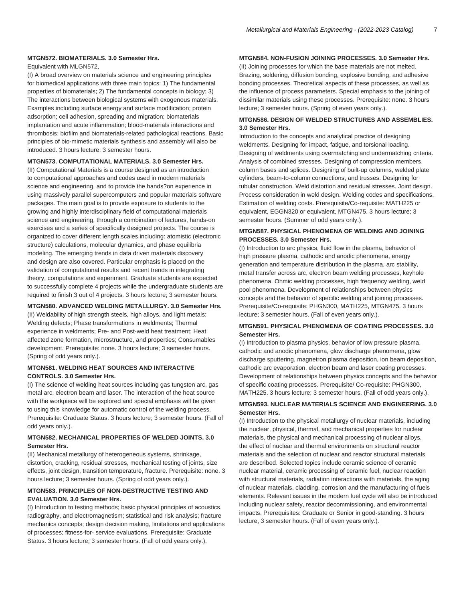#### **MTGN572. BIOMATERIALS. 3.0 Semester Hrs.**

Equivalent with MLGN572,

(I) A broad overview on materials science and engineering principles for biomedical applications with three main topics: 1) The fundamental properties of biomaterials; 2) The fundamental concepts in biology; 3) The interactions between biological systems with exogenous materials. Examples including surface energy and surface modification; protein adsorption; cell adhesion, spreading and migration; biomaterials implantation and acute inflammation; blood-materials interactions and thrombosis; biofilm and biomaterials-related pathological reactions. Basic principles of bio-mimetic materials synthesis and assembly will also be introduced. 3 hours lecture; 3 semester hours.

#### **MTGN573. COMPUTATIONAL MATERIALS. 3.0 Semester Hrs.**

(II) Computational Materials is a course designed as an introduction to computational approaches and codes used in modern materials science and engineering, and to provide the hands?on experience in using massively parallel supercomputers and popular materials software packages. The main goal is to provide exposure to students to the growing and highly interdisciplinary field of computational materials science and engineering, through a combination of lectures, hands-on exercises and a series of specifically designed projects. The course is organized to cover different length scales including: atomistic (electronic structure) calculations, molecular dynamics, and phase equilibria modeling. The emerging trends in data driven materials discovery and design are also covered. Particular emphasis is placed on the validation of computational results and recent trends in integrating theory, computations and experiment. Graduate students are expected to successfully complete 4 projects while the undergraduate students are required to finish 3 out of 4 projects. 3 hours lecture; 3 semester hours.

#### **MTGN580. ADVANCED WELDING METALLURGY. 3.0 Semester Hrs.**

(II) Weldability of high strength steels, high alloys, and light metals; Welding defects; Phase transformations in weldments; Thermal experience in weldments; Pre- and Post-weld heat treatment; Heat affected zone formation, microstructure, and properties; Consumables development. Prerequisite: none. 3 hours lecture; 3 semester hours. (Spring of odd years only.).

#### **MTGN581. WELDING HEAT SOURCES AND INTERACTIVE CONTROLS. 3.0 Semester Hrs.**

(I) The science of welding heat sources including gas tungsten arc, gas metal arc, electron beam and laser. The interaction of the heat source with the workpiece will be explored and special emphasis will be given to using this knowledge for automatic control of the welding process. Prerequisite: Graduate Status. 3 hours lecture; 3 semester hours. (Fall of odd years only.).

#### **MTGN582. MECHANICAL PROPERTIES OF WELDED JOINTS. 3.0 Semester Hrs.**

(II) Mechanical metallurgy of heterogeneous systems, shrinkage, distortion, cracking, residual stresses, mechanical testing of joints, size effects, joint design, transition temperature, fracture. Prerequisite: none. 3 hours lecture; 3 semester hours. (Spring of odd years only.).

#### **MTGN583. PRINCIPLES OF NON-DESTRUCTIVE TESTING AND EVALUATION. 3.0 Semester Hrs.**

(I) Introduction to testing methods; basic physical principles of acoustics, radiography, and electromagnetism; statistical and risk analysis; fracture mechanics concepts; design decision making, limitations and applications of processes; fitness-for- service evaluations. Prerequisite: Graduate Status. 3 hours lecture; 3 semester hours. (Fall of odd years only.).

#### **MTGN584. NON-FUSION JOINING PROCESSES. 3.0 Semester Hrs.**

(II) Joining processes for which the base materials are not melted. Brazing, soldering, diffusion bonding, explosive bonding, and adhesive bonding processes. Theoretical aspects of these processes, as well as the influence of process parameters. Special emphasis to the joining of dissimilar materials using these processes. Prerequisite: none. 3 hours lecture; 3 semester hours. (Spring of even years only.).

#### **MTGN586. DESIGN OF WELDED STRUCTURES AND ASSEMBLIES. 3.0 Semester Hrs.**

Introduction to the concepts and analytical practice of designing weldments. Designing for impact, fatigue, and torsional loading. Designing of weldments using overmatching and undermatching criteria. Analysis of combined stresses. Designing of compression members, column bases and splices. Designing of built-up columns, welded plate cylinders, beam-to-column connections, and trusses. Designing for tubular construction. Weld distortion and residual stresses. Joint design. Process consideration in weld design. Welding codes and specifications. Estimation of welding costs. Prerequisite/Co-requisite: MATH225 or equivalent, EGGN320 or equivalent, MTGN475. 3 hours lecture; 3 semester hours. (Summer of odd years only.).

#### **MTGN587. PHYSICAL PHENOMENA OF WELDING AND JOINING PROCESSES. 3.0 Semester Hrs.**

(I) Introduction to arc physics, fluid flow in the plasma, behavior of high pressure plasma, cathodic and anodic phenomena, energy generation and temperature distribution in the plasma, arc stability, metal transfer across arc, electron beam welding processes, keyhole phenomena. Ohmic welding processes, high frequency welding, weld pool phenomena. Development of relationships between physics concepts and the behavior of specific welding and joining processes. Prerequisite/Co-requisite: PHGN300, MATH225, MTGN475. 3 hours lecture; 3 semester hours. (Fall of even years only.).

#### **MTGN591. PHYSICAL PHENOMENA OF COATING PROCESSES. 3.0 Semester Hrs.**

(I) Introduction to plasma physics, behavior of low pressure plasma, cathodic and anodic phenomena, glow discharge phenomena, glow discharge sputtering, magnetron plasma deposition, ion beam deposition, cathodic arc evaporation, electron beam and laser coating processes. Development of relationships between physics concepts and the behavior of specific coating processes. Prerequisite/ Co-requisite: PHGN300, MATH225. 3 hours lecture; 3 semester hours. (Fall of odd years only.).

#### **MTGN593. NUCLEAR MATERIALS SCIENCE AND ENGINEERING. 3.0 Semester Hrs.**

(I) Introduction to the physical metallurgy of nuclear materials, including the nuclear, physical, thermal, and mechanical properties for nuclear materials, the physical and mechanical processing of nuclear alloys, the effect of nuclear and thermal environments on structural reactor materials and the selection of nuclear and reactor structural materials are described. Selected topics include ceramic science of ceramic nuclear material, ceramic processing of ceramic fuel, nuclear reaction with structural materials, radiation interactions with materials, the aging of nuclear materials, cladding, corrosion and the manufacturing of fuels elements. Relevant issues in the modern fuel cycle will also be introduced including nuclear safety, reactor decommissioning, and environmental impacts. Prerequisites: Graduate or Senior in good-standing. 3 hours lecture, 3 semester hours. (Fall of even years only.).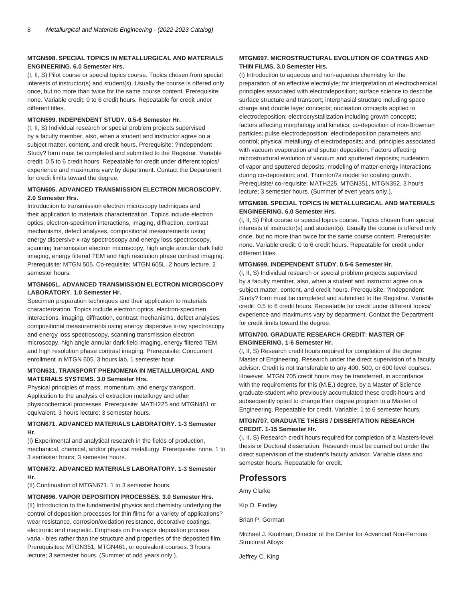#### **MTGN598. SPECIAL TOPICS IN METALLURGICAL AND MATERIALS ENGINEERING. 6.0 Semester Hrs.**

(I, II, S) Pilot course or special topics course. Topics chosen from special interests of instructor(s) and student(s). Usually the course is offered only once, but no more than twice for the same course content. Prerequisite: none. Variable credit: 0 to 6 credit hours. Repeatable for credit under different titles.

#### **MTGN599. INDEPENDENT STUDY. 0.5-6 Semester Hr.**

(I, II, S) Individual research or special problem projects supervised by a faculty member, also, when a student and instructor agree on a subject matter, content, and credit hours. Prerequisite: ?Independent Study? form must be completed and submitted to the Registrar. Variable credit: 0.5 to 6 credit hours. Repeatable for credit under different topics/ experience and maximums vary by department. Contact the Department for credit limits toward the degree.

#### **MTGN605. ADVANCED TRANSMISSION ELECTRON MICROSCOPY. 2.0 Semester Hrs.**

Introduction to transmission electron microscopy techniques and their application to materials characterization. Topics include electron optics, electron-specimen interactions, imaging, diffraction, contrast mechanisms, defect analyses, compositional measurements using energy dispersive x-ray spectroscopy and energy loss spectroscopy, scanning transmission electron microscopy, high angle annular dark field imaging, energy filtered TEM and high resolution phase contrast imaging. Prerequisite: MTGN 505. Co-requisite; MTGN 605L. 2 hours lecture, 2 semester hours.

#### **MTGN605L. ADVANCED TRANSMISSION ELECTRON MICROSCOPY LABORATORY. 1.0 Semester Hr.**

Specimen preparation techniques and their application to materials characterization. Topics include electron optics, electron-specimen interactions, imaging, diffraction, contrast mechanisms, defect analyses, compositional measurements using energy dispersive x-ray spectroscopy and energy loss spectroscopy, scanning transmission electron microscopy, high angle annular dark field imaging, energy filtered TEM and high resolution phase contrast imaging. Prerequisite: Concurrent enrollment in MTGN 605. 3 hours lab, 1 semester hour.

#### **MTGN631. TRANSPORT PHENOMENA IN METALLURGICAL AND MATERIALS SYSTEMS. 3.0 Semester Hrs.**

Physical principles of mass, momentum, and energy transport. Application to the analysis of extraction metallurgy and other physicochemical processes. Prerequisite: MATH225 and MTGN461 or equivalent. 3 hours lecture; 3 semester hours.

#### **MTGN671. ADVANCED MATERIALS LABORATORY. 1-3 Semester Hr.**

(I) Experimental and analytical research in the fields of production, mechanical, chemical, and/or physical metallurgy. Prerequisite: none. 1 to 3 semester hours; 3 semester hours.

#### **MTGN672. ADVANCED MATERIALS LABORATORY. 1-3 Semester Hr.**

(II) Continuation of MTGN671. 1 to 3 semester hours.

#### **MTGN696. VAPOR DEPOSITION PROCESSES. 3.0 Semester Hrs.**

(II) Introduction to the fundamental physics and chemistry underlying the control of deposition processes for thin films for a variety of applications? wear resistance, corrosion/oxidation resistance, decorative coatings, electronic and magnetic. Emphasis on the vapor deposition process varia - bles rather than the structure and properties of the deposited film. Prerequisites: MTGN351, MTGN461, or equivalent courses. 3 hours lecture; 3 semester hours. (Summer of odd years only.).

#### **MTGN697. MICROSTRUCTURAL EVOLUTION OF COATINGS AND THIN FILMS. 3.0 Semester Hrs.**

(I) Introduction to aqueous and non-aqueous chemistry for the preparation of an effective electrolyte; for interpretation of electrochemical principles associated with electrodeposition; surface science to describe surface structure and transport; interphasial structure including space charge and double layer concepts; nucleation concepts applied to electrodeposition; electrocrystallization including growth concepts; factors affecting morphology and kinetics; co-deposition of non-Brownian particles; pulse electrodeposition; electrodeposition parameters and control; physical metallurgy of electrodeposits; and, principles associated with vacuum evaporation and sputter deposition. Factors affecting microstructural evolution of vacuum and sputtered deposits; nucleation of vapor and sputtered deposits; modeling of matter-energy interactions during co-deposition; and, Thornton?s model for coating growth. Prerequisite/ co-requisite: MATH225, MTGN351, MTGN352. 3 hours lecture; 3 semester hours. (Summer of even years only.).

#### **MTGN698. SPECIAL TOPICS IN METALLURGICAL AND MATERIALS ENGINEERING. 6.0 Semester Hrs.**

(I, II, S) Pilot course or special topics course. Topics chosen from special interests of instructor(s) and student(s). Usually the course is offered only once, but no more than twice for the same course content. Prerequisite: none. Variable credit: 0 to 6 credit hours. Repeatable for credit under different titles.

#### **MTGN699. INDEPENDENT STUDY. 0.5-6 Semester Hr.**

(I, II, S) Individual research or special problem projects supervised by a faculty member, also, when a student and instructor agree on a subject matter, content, and credit hours. Prerequisite: ?Independent Study? form must be completed and submitted to the Registrar. Variable credit: 0.5 to 6 credit hours. Repeatable for credit under different topics/ experience and maximums vary by department. Contact the Department for credit limits toward the degree.

#### **MTGN700. GRADUATE RESEARCH CREDIT: MASTER OF ENGINEERING. 1-6 Semester Hr.**

(I, II, S) Research credit hours required for completion of the degree Master of Engineering. Research under the direct supervision of a faculty advisor. Credit is not transferable to any 400, 500, or 600 level courses. However, MTGN 705 credit hours may be transferred, in accordance with the requirements for this (M.E.) degree, by a Master of Science graduate-student who previously accumulated these credit-hours and subsequently opted to change their degree program to a Master of Engineering. Repeatable for credit. Variable: 1 to 6 semester hours.

#### **MTGN707. GRADUATE THESIS / DISSERTATION RESEARCH CREDIT. 1-15 Semester Hr.**

(I, II, S) Research credit hours required for completion of a Masters-level thesis or Doctoral dissertation. Research must be carried out under the direct supervision of the student's faculty advisor. Variable class and semester hours. Repeatable for credit.

# **Professors**

Amy Clarke

Kip O. Findley

Brian P. Gorman

Michael J. Kaufman, Director of the Center for Advanced Non-Ferrous Structural Alloys

Jeffrey C. King